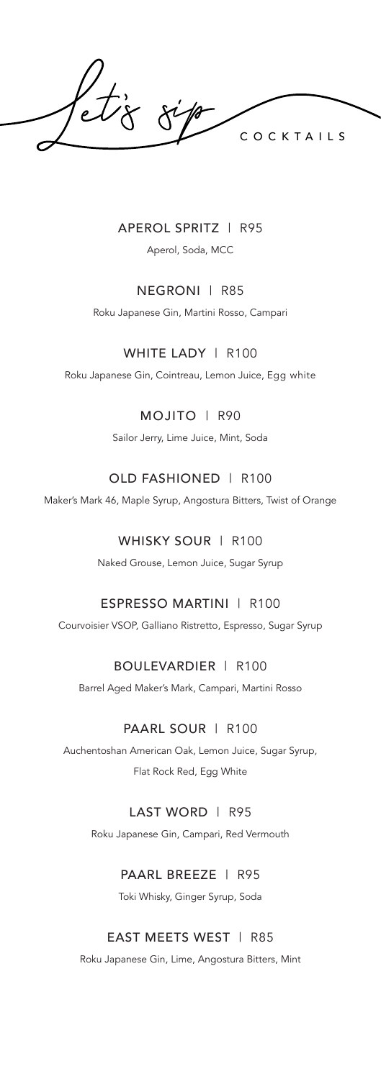COCKTAILS

## APEROL SPRITZ | R95

Aperol, Soda, MCC

## NEGRONI | R85

Roku Japanese Gin, Martini Rosso, Campari

# WHITE LADY | R100

Roku Japanese Gin, Cointreau, Lemon Juice, Egg white

# MOJITO | R90

Sailor Jerry, Lime Juice, Mint, Soda

# OLD FASHIONED | R100

Maker's Mark 46, Maple Syrup, Angostura Bitters, Twist of Orange

# WHISKY SOUR | R100

Naked Grouse, Lemon Juice, Sugar Syrup

# ESPRESSO MARTINI | R100

Courvoisier VSOP, Galliano Ristretto, Espresso, Sugar Syrup

# BOULEVARDIER | R100

Barrel Aged Maker's Mark, Campari, Martini Rosso

# PAARL SOUR | R100

Auchentoshan American Oak, Lemon Juice, Sugar Syrup, Flat Rock Red, Egg White

### LAST WORD | R95

Roku Japanese Gin, Campari, Red Vermouth

### PAARL BREEZE | R95

Toki Whisky, Ginger Syrup, Soda

### EAST MEETS WEST | R85

Roku Japanese Gin, Lime, Angostura Bitters, Mint